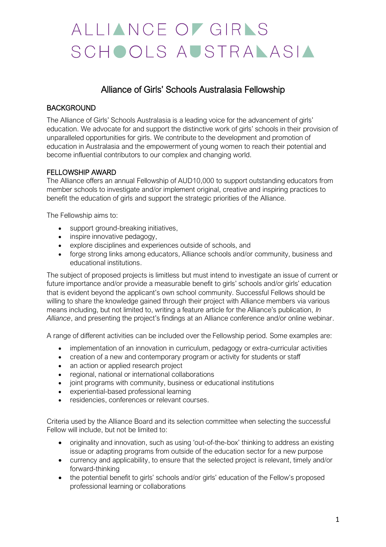# ALLIANCE OF GIRAS SCHOOLS AUSTRALASIA

# Alliance of Girls' Schools Australasia Fellowship

# **BACKGROUND**

The Alliance of Girls' Schools Australasia is a leading voice for the advancement of girls' education. We advocate for and support the distinctive work of girls' schools in their provision of unparalleled opportunities for girls. We contribute to the development and promotion of education in Australasia and the empowerment of young women to reach their potential and become influential contributors to our complex and changing world.

### FELLOWSHIP AWARD

The Alliance offers an annual Fellowship of AUD10,000 to support outstanding educators from member schools to investigate and/or implement original, creative and inspiring practices to benefit the education of girls and support the strategic priorities of the Alliance.

The Fellowship aims to:

- support ground-breaking initiatives,
- inspire innovative pedagogy,
- explore disciplines and experiences outside of schools, and
- forge strong links among educators, Alliance schools and/or community, business and educational institutions.

The subject of proposed projects is limitless but must intend to investigate an issue of current or future importance and/or provide a measurable benefit to girls' schools and/or girls' education that is evident beyond the applicant's own school community. Successful Fellows should be willing to share the knowledge gained through their project with Alliance members via various means including, but not limited to, writing a feature article for the Alliance's publication, *In Alliance*, and presenting the project's findings at an Alliance conference and/or online webinar.

A range of different activities can be included over the Fellowship period. Some examples are:

- implementation of an innovation in curriculum, pedagogy or extra-curricular activities
- creation of a new and contemporary program or activity for students or staff
- an action or applied research project
- regional, national or international collaborations
- joint programs with community, business or educational institutions
- experiential-based professional learning
- residencies, conferences or relevant courses.

Criteria used by the Alliance Board and its selection committee when selecting the successful Fellow will include, but not be limited to:

- originality and innovation, such as using 'out-of-the-box' thinking to address an existing issue or adapting programs from outside of the education sector for a new purpose
- currency and applicability, to ensure that the selected project is relevant, timely and/or forward-thinking
- the potential benefit to girls' schools and/or girls' education of the Fellow's proposed professional learning or collaborations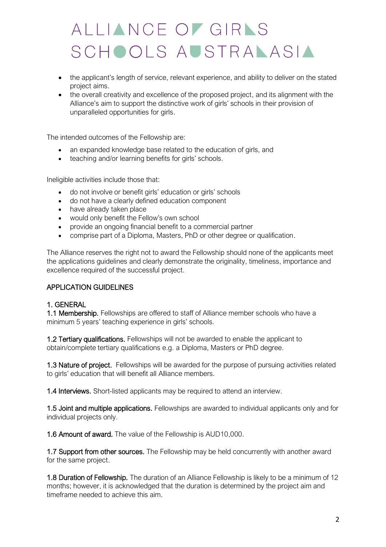# ALLIANCE OF GIRNS SCHOOLS AUSTRALASIA

- the applicant's length of service, relevant experience, and ability to deliver on the stated project aims.
- the overall creativity and excellence of the proposed project, and its alignment with the Alliance's aim to support the distinctive work of girls' schools in their provision of unparalleled opportunities for girls.

The intended outcomes of the Fellowship are:

- an expanded knowledge base related to the education of girls, and
- teaching and/or learning benefits for girls' schools.

Ineligible activities include those that:

- do not involve or benefit girls' education or girls' schools
- do not have a clearly defined education component
- have already taken place
- would only benefit the Fellow's own school
- provide an ongoing financial benefit to a commercial partner
- comprise part of a Diploma, Masters, PhD or other degree or qualification.

The Alliance reserves the right not to award the Fellowship should none of the applicants meet the applications guidelines and clearly demonstrate the originality, timeliness, importance and excellence required of the successful project.

#### APPLICATION GUIDELINES

#### 1. GENERAL

1.1 Membership. Fellowships are offered to staff of Alliance member schools who have a minimum 5 years' teaching experience in girls' schools.

1.2 Tertiary qualifications. Fellowships will not be awarded to enable the applicant to obtain/complete tertiary qualifications e.g. a Diploma, Masters or PhD degree.

1.3 Nature of project. Fellowships will be awarded for the purpose of pursuing activities related to girls' education that will benefit all Alliance members.

1.4 Interviews. Short-listed applicants may be required to attend an interview.

1.5 Joint and multiple applications. Fellowships are awarded to individual applicants only and for individual projects only.

1.6 Amount of award. The value of the Fellowship is AUD10,000.

1.7 Support from other sources. The Fellowship may be held concurrently with another award for the same project.

1.8 Duration of Fellowship. The duration of an Alliance Fellowship is likely to be a minimum of 12 months; however, it is acknowledged that the duration is determined by the project aim and timeframe needed to achieve this aim.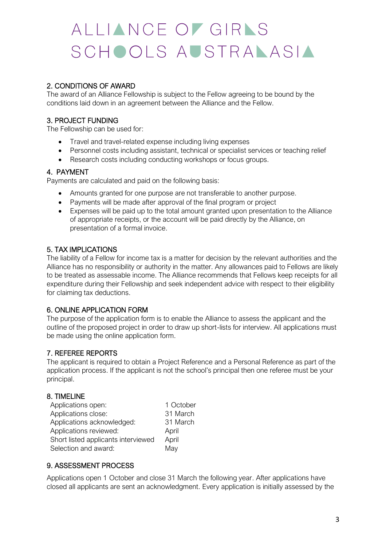# ALLIANCE OF GIRAS SCHOOLS AUSTRALASIA

# 2. CONDITIONS OF AWARD

The award of an Alliance Fellowship is subject to the Fellow agreeing to be bound by the conditions laid down in an agreement between the Alliance and the Fellow.

# 3. PROJECT FUNDING

The Fellowship can be used for:

- Travel and travel-related expense including living expenses
- Personnel costs including assistant, technical or specialist services or teaching relief
- Research costs including conducting workshops or focus groups.

### 4. PAYMENT

Payments are calculated and paid on the following basis:

- Amounts granted for one purpose are not transferable to another purpose.
- Payments will be made after approval of the final program or project
- Expenses will be paid up to the total amount granted upon presentation to the Alliance of appropriate receipts, or the account will be paid directly by the Alliance, on presentation of a formal invoice.

### 5. TAX IMPLICATIONS

The liability of a Fellow for income tax is a matter for decision by the relevant authorities and the Alliance has no responsibility or authority in the matter. Any allowances paid to Fellows are likely to be treated as assessable income. The Alliance recommends that Fellows keep receipts for all expenditure during their Fellowship and seek independent advice with respect to their eligibility for claiming tax deductions.

### 6. ONLINE APPLICATION FORM

The purpose of the application form is to enable the Alliance to assess the applicant and the outline of the proposed project in order to draw up short-lists for interview. All applications must be made using the online application form.

### 7. REFEREE REPORTS

The applicant is required to obtain a Project Reference and a Personal Reference as part of the application process. If the applicant is not the school's principal then one referee must be your principal.

### 8. TIMELINE

| Applications open:                  | 1 October |
|-------------------------------------|-----------|
| Applications close:                 | 31 March  |
| Applications acknowledged:          | 31 March  |
| Applications reviewed:              | April     |
| Short listed applicants interviewed | April     |
| Selection and award:                | May       |

### 9. ASSESSMENT PROCESS

Applications open 1 October and close 31 March the following year. After applications have closed all applicants are sent an acknowledgment. Every application is initially assessed by the